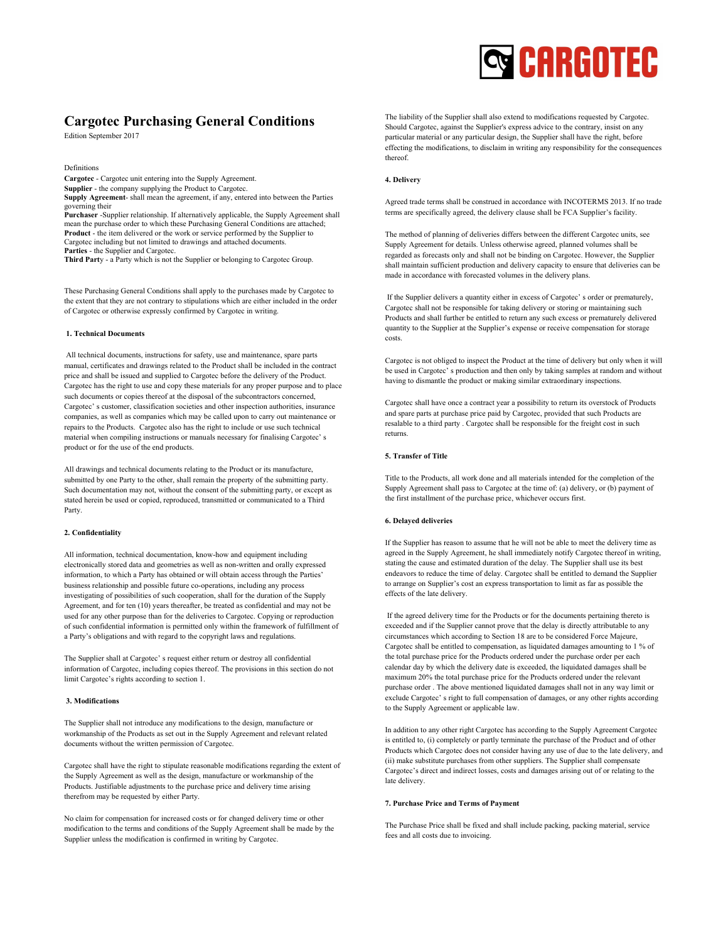# **Q** CARGOTEC

# Cargotec Purchasing General Conditions

Edition September 2017

Definitions

Cargotec - Cargotec unit entering into the Supply Agreement.

Supplier - the company supplying the Product to Cargotec.

Supply Agreement- shall mean the agreement, if any, entered into between the Parties governing their

Purchaser -Supplier relationship. If alternatively applicable, the Supply Agreement shall mean the purchase order to which these Purchasing General Conditions are attached; Product - the item delivered or the work or service performed by the Supplier to Cargotec including but not limited to drawings and attached documents. Parties - the Supplier and Cargotec.

Third Party - a Party which is not the Supplier or belonging to Cargotec Group.

These Purchasing General Conditions shall apply to the purchases made by Cargotec to the extent that they are not contrary to stipulations which are either included in the order of Cargotec or otherwise expressly confirmed by Cargotec in writing.

# 1. Technical Documents

 All technical documents, instructions for safety, use and maintenance, spare parts manual, certificates and drawings related to the Product shall be included in the contract price and shall be issued and supplied to Cargotec before the delivery of the Product. Cargotec has the right to use and copy these materials for any proper purpose and to place such documents or copies thereof at the disposal of the subcontractors concerned, Cargotec' s customer, classification societies and other inspection authorities, insurance companies, as well as companies which may be called upon to carry out maintenance or repairs to the Products. Cargotec also has the right to include or use such technical material when compiling instructions or manuals necessary for finalising Cargotec' s product or for the use of the end products.

All drawings and technical documents relating to the Product or its manufacture, submitted by one Party to the other, shall remain the property of the submitting party. Such documentation may not, without the consent of the submitting party, or except as stated herein be used or copied, reproduced, transmitted or communicated to a Third Party.

#### 2. Confidentiality

All information, technical documentation, know-how and equipment including electronically stored data and geometries as well as non-written and orally expressed information, to which a Party has obtained or will obtain access through the Parties' business relationship and possible future co-operations, including any process investigating of possibilities of such cooperation, shall for the duration of the Supply Agreement, and for ten (10) years thereafter, be treated as confidential and may not be used for any other purpose than for the deliveries to Cargotec. Copying or reproduction of such confidential information is permitted only within the framework of fulfillment of a Party's obligations and with regard to the copyright laws and regulations.

The Supplier shall at Cargotec' s request either return or destroy all confidential information of Cargotec, including copies thereof. The provisions in this section do not limit Cargotec's rights according to section 1.

# 3. Modifications

The Supplier shall not introduce any modifications to the design, manufacture or workmanship of the Products as set out in the Supply Agreement and relevant related documents without the written permission of Cargotec.

Cargotec shall have the right to stipulate reasonable modifications regarding the extent of the Supply Agreement as well as the design, manufacture or workmanship of the Products. Justifiable adjustments to the purchase price and delivery time arising therefrom may be requested by either Party.

No claim for compensation for increased costs or for changed delivery time or other modification to the terms and conditions of the Supply Agreement shall be made by the Supplier unless the modification is confirmed in writing by Cargotec.

The liability of the Supplier shall also extend to modifications requested by Cargotec. Should Cargotec, against the Supplier's express advice to the contrary, insist on any particular material or any particular design, the Supplier shall have the right, before effecting the modifications, to disclaim in writing any responsibility for the consequences thereof.

#### 4. Delivery

Agreed trade terms shall be construed in accordance with INCOTERMS 2013. If no trade terms are specifically agreed, the delivery clause shall be FCA Supplier's facility.

The method of planning of deliveries differs between the different Cargotec units, see Supply Agreement for details. Unless otherwise agreed, planned volumes shall be regarded as forecasts only and shall not be binding on Cargotec. However, the Supplier shall maintain sufficient production and delivery capacity to ensure that deliveries can be made in accordance with forecasted volumes in the delivery plans.

 If the Supplier delivers a quantity either in excess of Cargotec' s order or prematurely, Cargotec shall not be responsible for taking delivery or storing or maintaining such Products and shall further be entitled to return any such excess or prematurely delivered quantity to the Supplier at the Supplier's expense or receive compensation for storage costs.

Cargotec is not obliged to inspect the Product at the time of delivery but only when it will be used in Cargotec' s production and then only by taking samples at random and without having to dismantle the product or making similar extraordinary inspections.

Cargotec shall have once a contract year a possibility to return its overstock of Products and spare parts at purchase price paid by Cargotec, provided that such Products are resalable to a third party . Cargotec shall be responsible for the freight cost in such returns.

# 5. Transfer of Title

Title to the Products, all work done and all materials intended for the completion of the Supply Agreement shall pass to Cargotec at the time of: (a) delivery, or (b) payment of the first installment of the purchase price, whichever occurs first.

### 6. Delayed deliveries

If the Supplier has reason to assume that he will not be able to meet the delivery time as agreed in the Supply Agreement, he shall immediately notify Cargotec thereof in writing, stating the cause and estimated duration of the delay. The Supplier shall use its best endeavors to reduce the time of delay. Cargotec shall be entitled to demand the Supplier to arrange on Supplier's cost an express transportation to limit as far as possible the effects of the late delivery.

 If the agreed delivery time for the Products or for the documents pertaining thereto is exceeded and if the Supplier cannot prove that the delay is directly attributable to any circumstances which according to Section 18 are to be considered Force Majeure, Cargotec shall be entitled to compensation, as liquidated damages amounting to 1 % of the total purchase price for the Products ordered under the purchase order per each calendar day by which the delivery date is exceeded, the liquidated damages shall be maximum 20% the total purchase price for the Products ordered under the relevant purchase order . The above mentioned liquidated damages shall not in any way limit or exclude Cargotec' s right to full compensation of damages, or any other rights according to the Supply Agreement or applicable law.

In addition to any other right Cargotec has according to the Supply Agreement Cargotec is entitled to, (i) completely or partly terminate the purchase of the Product and of other Products which Cargotec does not consider having any use of due to the late delivery, and (ii) make substitute purchases from other suppliers. The Supplier shall compensate Cargotec's direct and indirect losses, costs and damages arising out of or relating to the late delivery.

# 7. Purchase Price and Terms of Payment

The Purchase Price shall be fixed and shall include packing, packing material, service fees and all costs due to invoicing.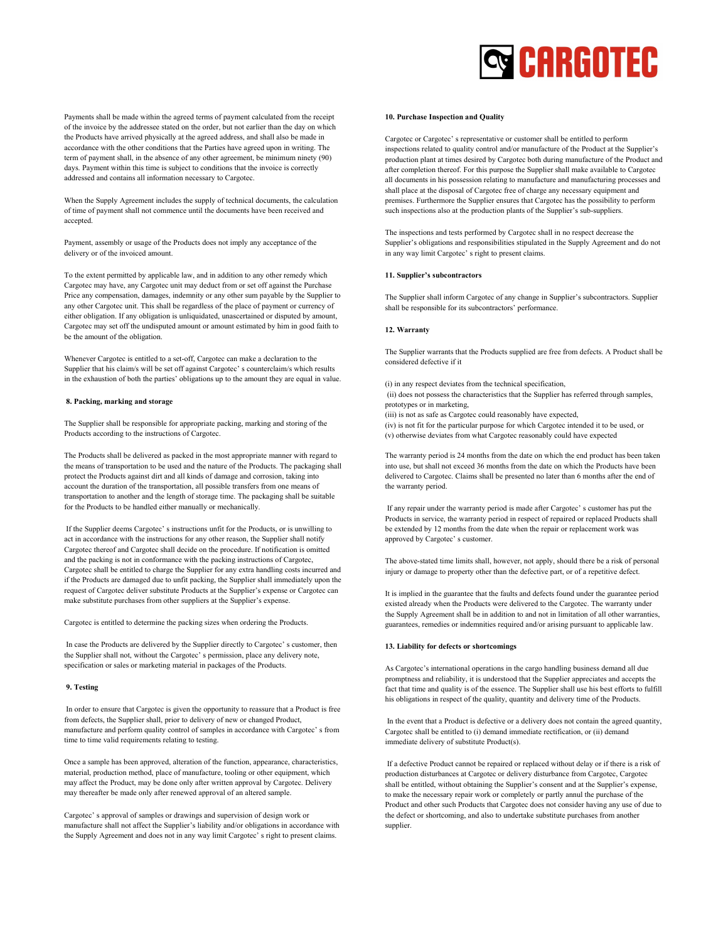

Payments shall be made within the agreed terms of payment calculated from the receipt of the invoice by the addressee stated on the order, but not earlier than the day on which the Products have arrived physically at the agreed address, and shall also be made in accordance with the other conditions that the Parties have agreed upon in writing. The term of payment shall, in the absence of any other agreement, be minimum ninety (90) days. Payment within this time is subject to conditions that the invoice is correctly addressed and contains all information necessary to Cargotec.

When the Supply Agreement includes the supply of technical documents, the calculation of time of payment shall not commence until the documents have been received and accepted.

Payment, assembly or usage of the Products does not imply any acceptance of the delivery or of the invoiced amount.

To the extent permitted by applicable law, and in addition to any other remedy which Cargotec may have, any Cargotec unit may deduct from or set off against the Purchase Price any compensation, damages, indemnity or any other sum payable by the Supplier to any other Cargotec unit. This shall be regardless of the place of payment or currency of either obligation. If any obligation is unliquidated, unascertained or disputed by amount, Cargotec may set off the undisputed amount or amount estimated by him in good faith to be the amount of the obligation.

Whenever Cargotec is entitled to a set-off, Cargotec can make a declaration to the Supplier that his claim/s will be set off against Cargotec' s counterclaim/s which results in the exhaustion of both the parties' obligations up to the amount they are equal in value.

#### 8. Packing, marking and storage

The Supplier shall be responsible for appropriate packing, marking and storing of the Products according to the instructions of Cargotec.

The Products shall be delivered as packed in the most appropriate manner with regard to the means of transportation to be used and the nature of the Products. The packaging shall protect the Products against dirt and all kinds of damage and corrosion, taking into account the duration of the transportation, all possible transfers from one means of transportation to another and the length of storage time. The packaging shall be suitable for the Products to be handled either manually or mechanically.

 If the Supplier deems Cargotec' s instructions unfit for the Products, or is unwilling to act in accordance with the instructions for any other reason, the Supplier shall notify Cargotec thereof and Cargotec shall decide on the procedure. If notification is omitted and the packing is not in conformance with the packing instructions of Cargotec, Cargotec shall be entitled to charge the Supplier for any extra handling costs incurred and if the Products are damaged due to unfit packing, the Supplier shall immediately upon the request of Cargotec deliver substitute Products at the Supplier's expense or Cargotec can make substitute purchases from other suppliers at the Supplier's expense.

Cargotec is entitled to determine the packing sizes when ordering the Products.

 In case the Products are delivered by the Supplier directly to Cargotec' s customer, then the Supplier shall not, without the Cargotec' s permission, place any delivery note, specification or sales or marketing material in packages of the Products.

# 9. Testing

 In order to ensure that Cargotec is given the opportunity to reassure that a Product is free from defects, the Supplier shall, prior to delivery of new or changed Product, manufacture and perform quality control of samples in accordance with Cargotec' s from time to time valid requirements relating to testing.

Once a sample has been approved, alteration of the function, appearance, characteristics, material, production method, place of manufacture, tooling or other equipment, which may affect the Product, may be done only after written approval by Cargotec. Delivery may thereafter be made only after renewed approval of an altered sample.

Cargotec' s approval of samples or drawings and supervision of design work or manufacture shall not affect the Supplier's liability and/or obligations in accordance with the Supply Agreement and does not in any way limit Cargotec' s right to present claims.

#### 10. Purchase Inspection and Quality

Cargotec or Cargotec' s representative or customer shall be entitled to perform inspections related to quality control and/or manufacture of the Product at the Supplier's production plant at times desired by Cargotec both during manufacture of the Product and after completion thereof. For this purpose the Supplier shall make available to Cargotec all documents in his possession relating to manufacture and manufacturing processes and shall place at the disposal of Cargotec free of charge any necessary equipment and premises. Furthermore the Supplier ensures that Cargotec has the possibility to perform such inspections also at the production plants of the Supplier's sub-suppliers.

The inspections and tests performed by Cargotec shall in no respect decrease the Supplier's obligations and responsibilities stipulated in the Supply Agreement and do not in any way limit Cargotec' s right to present claims.

# 11. Supplier's subcontractors

The Supplier shall inform Cargotec of any change in Supplier's subcontractors. Supplier shall be responsible for its subcontractors' performance.

#### 12. Warranty

The Supplier warrants that the Products supplied are free from defects. A Product shall be considered defective if it

(i) in any respect deviates from the technical specification,

 (ii) does not possess the characteristics that the Supplier has referred through samples, prototypes or in marketing,

(iii) is not as safe as Cargotec could reasonably have expected,

(iv) is not fit for the particular purpose for which Cargotec intended it to be used, or (v) otherwise deviates from what Cargotec reasonably could have expected

The warranty period is 24 months from the date on which the end product has been taken into use, but shall not exceed 36 months from the date on which the Products have been delivered to Cargotec. Claims shall be presented no later than 6 months after the end of the warranty period.

 If any repair under the warranty period is made after Cargotec' s customer has put the Products in service, the warranty period in respect of repaired or replaced Products shall be extended by 12 months from the date when the repair or replacement work was approved by Cargotec' s customer.

The above-stated time limits shall, however, not apply, should there be a risk of personal injury or damage to property other than the defective part, or of a repetitive defect.

It is implied in the guarantee that the faults and defects found under the guarantee period existed already when the Products were delivered to the Cargotec. The warranty under the Supply Agreement shall be in addition to and not in limitation of all other warranties, guarantees, remedies or indemnities required and/or arising pursuant to applicable law.

#### 13. Liability for defects or shortcomings

As Cargotec's international operations in the cargo handling business demand all due promptness and reliability, it is understood that the Supplier appreciates and accepts the fact that time and quality is of the essence. The Supplier shall use his best efforts to fulfill his obligations in respect of the quality, quantity and delivery time of the Products.

 In the event that a Product is defective or a delivery does not contain the agreed quantity, Cargotec shall be entitled to (i) demand immediate rectification, or (ii) demand immediate delivery of substitute Product(s).

 If a defective Product cannot be repaired or replaced without delay or if there is a risk of production disturbances at Cargotec or delivery disturbance from Cargotec, Cargotec shall be entitled, without obtaining the Supplier's consent and at the Supplier's expense, to make the necessary repair work or completely or partly annul the purchase of the Product and other such Products that Cargotec does not consider having any use of due to the defect or shortcoming, and also to undertake substitute purchases from another supplier.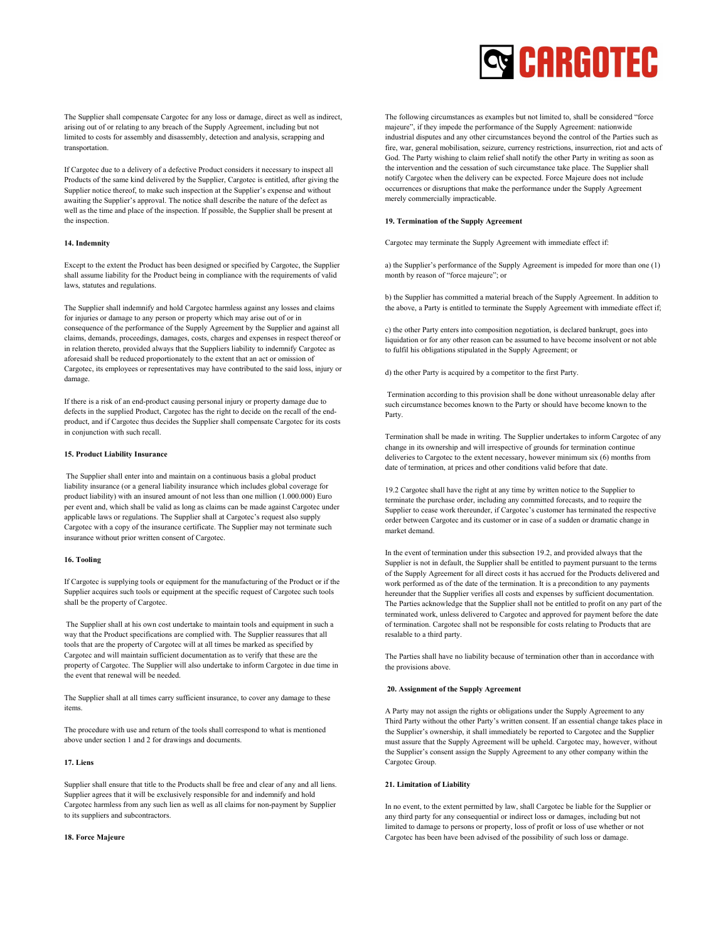

The Supplier shall compensate Cargotec for any loss or damage, direct as well as indirect, arising out of or relating to any breach of the Supply Agreement, including but not limited to costs for assembly and disassembly, detection and analysis, scrapping and transportation.

If Cargotec due to a delivery of a defective Product considers it necessary to inspect all Products of the same kind delivered by the Supplier, Cargotec is entitled, after giving the Supplier notice thereof, to make such inspection at the Supplier's expense and without awaiting the Supplier's approval. The notice shall describe the nature of the defect as well as the time and place of the inspection. If possible, the Supplier shall be present at the inspection.

#### 14. Indemnity

Except to the extent the Product has been designed or specified by Cargotec, the Supplier shall assume liability for the Product being in compliance with the requirements of valid laws, statutes and regulations.

The Supplier shall indemnify and hold Cargotec harmless against any losses and claims for injuries or damage to any person or property which may arise out of or in consequence of the performance of the Supply Agreement by the Supplier and against all claims, demands, proceedings, damages, costs, charges and expenses in respect thereof or in relation thereto, provided always that the Suppliers liability to indemnify Cargotec as aforesaid shall be reduced proportionately to the extent that an act or omission of Cargotec, its employees or representatives may have contributed to the said loss, injury or damage.

If there is a risk of an end-product causing personal injury or property damage due to defects in the supplied Product, Cargotec has the right to decide on the recall of the endproduct, and if Cargotec thus decides the Supplier shall compensate Cargotec for its costs in conjunction with such recall.

#### 15. Product Liability Insurance

 The Supplier shall enter into and maintain on a continuous basis a global product liability insurance (or a general liability insurance which includes global coverage for product liability) with an insured amount of not less than one million (1.000.000) Euro per event and, which shall be valid as long as claims can be made against Cargotec under applicable laws or regulations. The Supplier shall at Cargotec's request also supply Cargotec with a copy of the insurance certificate. The Supplier may not terminate such insurance without prior written consent of Cargotec.

#### 16. Tooling

If Cargotec is supplying tools or equipment for the manufacturing of the Product or if the Supplier acquires such tools or equipment at the specific request of Cargotec such tools shall be the property of Cargotec.

 The Supplier shall at his own cost undertake to maintain tools and equipment in such a way that the Product specifications are complied with. The Supplier reassures that all tools that are the property of Cargotec will at all times be marked as specified by Cargotec and will maintain sufficient documentation as to verify that these are the property of Cargotec. The Supplier will also undertake to inform Cargotec in due time in the event that renewal will be needed.

The Supplier shall at all times carry sufficient insurance, to cover any damage to these items.

The procedure with use and return of the tools shall correspond to what is mentioned above under section 1 and 2 for drawings and documents.

# 17. Liens

Supplier shall ensure that title to the Products shall be free and clear of any and all liens. Supplier agrees that it will be exclusively responsible for and indemnify and hold Cargotec harmless from any such lien as well as all claims for non-payment by Supplier to its suppliers and subcontractors.

#### 18. Force Majeure

The following circumstances as examples but not limited to, shall be considered "force majeure", if they impede the performance of the Supply Agreement: nationwide industrial disputes and any other circumstances beyond the control of the Parties such as fire, war, general mobilisation, seizure, currency restrictions, insurrection, riot and acts of God. The Party wishing to claim relief shall notify the other Party in writing as soon as the intervention and the cessation of such circumstance take place. The Supplier shall notify Cargotec when the delivery can be expected. Force Majeure does not include occurrences or disruptions that make the performance under the Supply Agreement merely commercially impracticable.

# 19. Termination of the Supply Agreement

Cargotec may terminate the Supply Agreement with immediate effect if:

a) the Supplier's performance of the Supply Agreement is impeded for more than one (1) month by reason of "force majeure"; or

b) the Supplier has committed a material breach of the Supply Agreement. In addition to the above, a Party is entitled to terminate the Supply Agreement with immediate effect if;

c) the other Party enters into composition negotiation, is declared bankrupt, goes into liquidation or for any other reason can be assumed to have become insolvent or not able to fulfil his obligations stipulated in the Supply Agreement; or

d) the other Party is acquired by a competitor to the first Party.

 Termination according to this provision shall be done without unreasonable delay after such circumstance becomes known to the Party or should have become known to the Party.

Termination shall be made in writing. The Supplier undertakes to inform Cargotec of any change in its ownership and will irrespective of grounds for termination continue deliveries to Cargotec to the extent necessary, however minimum six (6) months from date of termination, at prices and other conditions valid before that date.

19.2 Cargotec shall have the right at any time by written notice to the Supplier to terminate the purchase order, including any committed forecasts, and to require the Supplier to cease work thereunder, if Cargotec's customer has terminated the respective order between Cargotec and its customer or in case of a sudden or dramatic change in market demand.

In the event of termination under this subsection 19.2, and provided always that the Supplier is not in default, the Supplier shall be entitled to payment pursuant to the terms of the Supply Agreement for all direct costs it has accrued for the Products delivered and work performed as of the date of the termination. It is a precondition to any payments hereunder that the Supplier verifies all costs and expenses by sufficient documentation. The Parties acknowledge that the Supplier shall not be entitled to profit on any part of the terminated work, unless delivered to Cargotec and approved for payment before the date of termination. Cargotec shall not be responsible for costs relating to Products that are resalable to a third party.

The Parties shall have no liability because of termination other than in accordance with the provisions above.

#### 20. Assignment of the Supply Agreement

A Party may not assign the rights or obligations under the Supply Agreement to any Third Party without the other Party's written consent. If an essential change takes place in the Supplier's ownership, it shall immediately be reported to Cargotec and the Supplier must assure that the Supply Agreement will be upheld. Cargotec may, however, without the Supplier's consent assign the Supply Agreement to any other company within the Cargotec Group.

# 21. Limitation of Liability

In no event, to the extent permitted by law, shall Cargotec be liable for the Supplier or any third party for any consequential or indirect loss or damages, including but not limited to damage to persons or property, loss of profit or loss of use whether or not Cargotec has been have been advised of the possibility of such loss or damage.